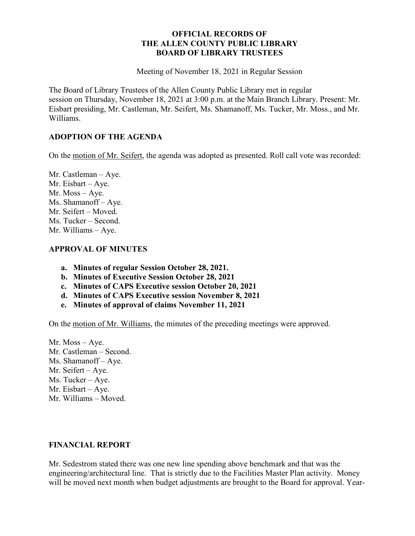## **OFFICIAL RECORDS OF THE ALLEN COUNTY PUBLIC LIBRARY BOARD OF LIBRARY TRUSTEES**

Meeting of November 18, 2021 in Regular Session

The Board of Library Trustees of the Allen County Public Library met in regular session on Thursday, November 18, 2021 at 3:00 p.m. at the Main Branch Library. Present: Mr. Eisbart presiding, Mr. Castleman, Mr. Seifert, Ms. Shamanoff, Ms. Tucker, Mr. Moss., and Mr. Williams.

## **ADOPTION OF THE AGENDA**

On the motion of Mr. Seifert, the agenda was adopted as presented. Roll call vote was recorded:

Mr. Castleman – Aye. Mr. Eisbart – Aye. Mr. Moss – Aye. Ms. Shamanoff – Aye. Mr. Seifert – Moved. Ms. Tucker – Second. Mr. Williams – Aye.

## **APPROVAL OF MINUTES**

- **a. Minutes of regular Session October 28, 2021.**
- **b. Minutes of Executive Session October 28, 2021**
- **c. Minutes of CAPS Executive session October 20, 2021**
- **d. Minutes of CAPS Executive session November 8, 2021**
- **e. Minutes of approval of claims November 11, 2021**

On the motion of Mr. Williams, the minutes of the preceding meetings were approved.

Mr. Moss – Aye. Mr. Castleman – Second. Ms. Shamanoff – Aye. Mr. Seifert – Aye. Ms. Tucker – Aye. Mr. Eisbart – Aye. Mr. Williams – Moved.

## **FINANCIAL REPORT**

Mr. Sedestrom stated there was one new line spending above benchmark and that was the engineering/architectural line. That is strictly due to the Facilities Master Plan activity. Money will be moved next month when budget adjustments are brought to the Board for approval. Year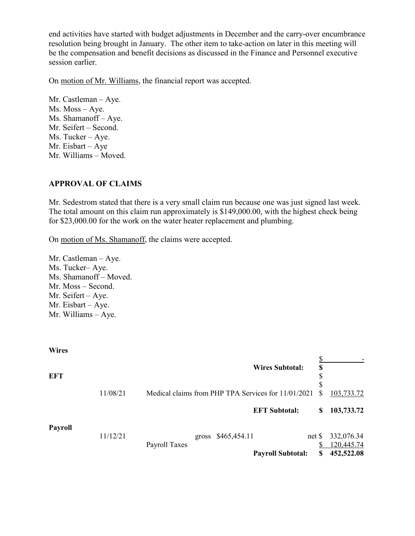end activities have started with budget adjustments in December and the carry-over encumbrance resolution being brought in January. The other item to take-action on later in this meeting will be the compensation and benefit decisions as discussed in the Finance and Personnel executive session earlier.

On motion of Mr. Williams, the financial report was accepted.

Mr. Castleman – Aye. Ms. Moss – Aye. Ms. Shamanoff – Aye. Mr. Seifert – Second. Ms. Tucker – Aye. Mr. Eisbart – Aye Mr. Williams – Moved.

## **APPROVAL OF CLAIMS**

Mr. Sedestrom stated that there is a very small claim run because one was just signed last week. The total amount on this claim run approximately is \$149,000.00, with the highest check being for \$23,000.00 for the work on the water heater replacement and plumbing.

On motion of Ms. Shamanoff, the claims were accepted.

Mr. Castleman – Aye. Ms. Tucker– Aye. Ms. Shamanoff – Moved. Mr. Moss – Second. Mr. Seifert – Aye. Mr. Eisbart – Aye. Mr. Williams – Aye.

| <b>Wires</b>   |          |               |                    |                                                     |    |            |
|----------------|----------|---------------|--------------------|-----------------------------------------------------|----|------------|
|                |          |               |                    |                                                     |    |            |
|                |          |               |                    | <b>Wires Subtotal:</b>                              | \$ |            |
| <b>EFT</b>     |          |               |                    |                                                     | \$ |            |
|                |          |               |                    |                                                     | \$ |            |
|                | 11/08/21 |               |                    | Medical claims from PHP TPA Services for 11/01/2021 | S  | 103,733.72 |
|                |          |               |                    |                                                     |    |            |
|                |          |               |                    | <b>EFT Subtotal:</b>                                | \$ | 103,733.72 |
|                |          |               |                    |                                                     |    |            |
| <b>Payroll</b> |          |               |                    |                                                     |    |            |
|                | 11/12/21 |               | gross \$465,454.11 | net <sub>s</sub>                                    |    | 332,076.34 |
|                |          | Payroll Taxes |                    |                                                     |    | 120,445.74 |
|                |          |               |                    | <b>Payroll Subtotal:</b>                            | \$ | 452,522.08 |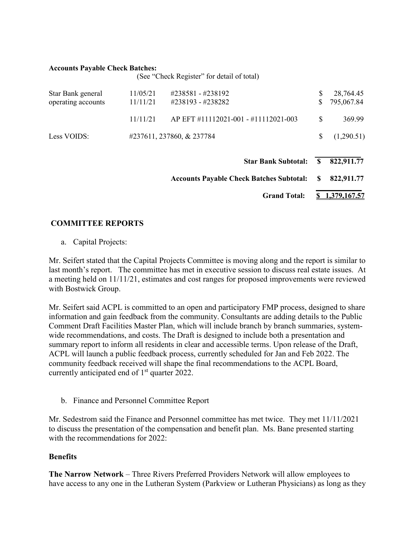#### **Accounts Payable Check Batches:**

|                                         |                      | (See "Check Register" for detail of total)      |          |                         |
|-----------------------------------------|----------------------|-------------------------------------------------|----------|-------------------------|
| Star Bank general<br>operating accounts | 11/05/21<br>11/11/21 | #238581 - #238192<br>#238193 - #238282          | \$<br>\$ | 28,764.45<br>795,067.84 |
|                                         | 11/11/21             | AP EFT #11112021-001 - #11112021-003            | \$       | 369.99                  |
| Less VOIDS:                             |                      | #237611, 237860, & 237784                       | \$       | (1,290.51)              |
|                                         |                      | <b>Star Bank Subtotal:</b>                      | S        | 822,911.77              |
|                                         |                      | <b>Accounts Payable Check Batches Subtotal:</b> |          |                         |
|                                         |                      | <b>Grand Total:</b>                             |          | 1,379,167.57            |

# **COMMITTEE REPORTS**

a. Capital Projects:

Mr. Seifert stated that the Capital Projects Committee is moving along and the report is similar to last month's report. The committee has met in executive session to discuss real estate issues. At a meeting held on 11/11/21, estimates and cost ranges for proposed improvements were reviewed with Bostwick Group.

Mr. Seifert said ACPL is committed to an open and participatory FMP process, designed to share information and gain feedback from the community. Consultants are adding details to the Public Comment Draft Facilities Master Plan, which will include branch by branch summaries, systemwide recommendations, and costs. The Draft is designed to include both a presentation and summary report to inform all residents in clear and accessible terms. Upon release of the Draft, ACPL will launch a public feedback process, currently scheduled for Jan and Feb 2022. The community feedback received will shape the final recommendations to the ACPL Board, currently anticipated end of  $1<sup>st</sup>$  quarter 2022.

b. Finance and Personnel Committee Report

Mr. Sedestrom said the Finance and Personnel committee has met twice. They met 11/11/2021 to discuss the presentation of the compensation and benefit plan. Ms. Bane presented starting with the recommendations for 2022:

## **Benefits**

**The Narrow Network** – Three Rivers Preferred Providers Network will allow employees to have access to any one in the Lutheran System (Parkview or Lutheran Physicians) as long as they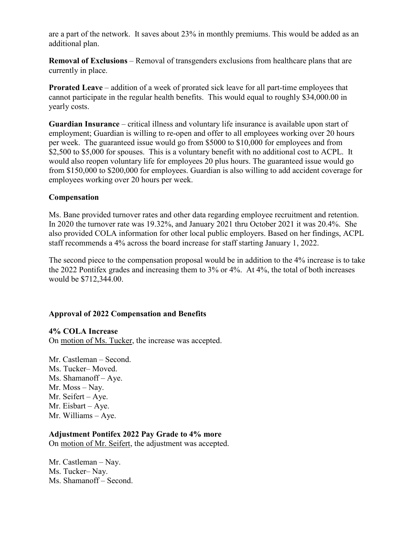are a part of the network. It saves about 23% in monthly premiums. This would be added as an additional plan.

**Removal of Exclusions** – Removal of transgenders exclusions from healthcare plans that are currently in place.

**Prorated Leave** – addition of a week of prorated sick leave for all part-time employees that cannot participate in the regular health benefits. This would equal to roughly \$34,000.00 in yearly costs.

**Guardian Insurance** – critical illness and voluntary life insurance is available upon start of employment; Guardian is willing to re-open and offer to all employees working over 20 hours per week. The guaranteed issue would go from \$5000 to \$10,000 for employees and from \$2,500 to \$5,000 for spouses. This is a voluntary benefit with no additional cost to ACPL. It would also reopen voluntary life for employees 20 plus hours. The guaranteed issue would go from \$150,000 to \$200,000 for employees. Guardian is also willing to add accident coverage for employees working over 20 hours per week.

## **Compensation**

Ms. Bane provided turnover rates and other data regarding employee recruitment and retention. In 2020 the turnover rate was 19.32%, and January 2021 thru October 2021 it was 20.4%. She also provided COLA information for other local public employers. Based on her findings, ACPL staff recommends a 4% across the board increase for staff starting January 1, 2022.

The second piece to the compensation proposal would be in addition to the 4% increase is to take the 2022 Pontifex grades and increasing them to 3% or 4%. At 4%, the total of both increases would be \$712,344.00.

## **Approval of 2022 Compensation and Benefits**

**4% COLA Increase**  On motion of Ms. Tucker, the increase was accepted.

Mr. Castleman – Second. Ms. Tucker– Moved. Ms. Shamanoff – Aye. Mr. Moss – Nay. Mr. Seifert – Aye. Mr. Eisbart – Aye. Mr. Williams – Aye.

# **Adjustment Pontifex 2022 Pay Grade to 4% more**

On motion of Mr. Seifert, the adjustment was accepted.

Mr. Castleman – Nay. Ms. Tucker– Nay. Ms. Shamanoff – Second.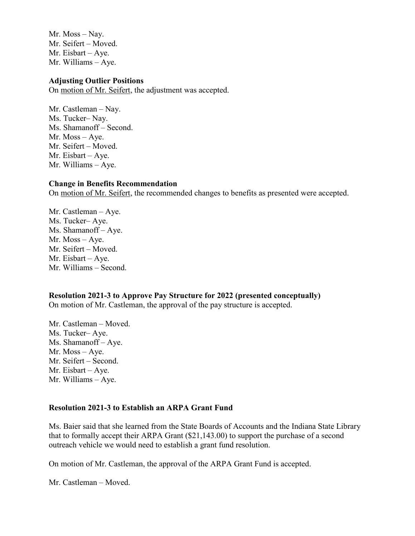Mr. Moss – Nay. Mr. Seifert – Moved. Mr. Eisbart – Aye. Mr. Williams – Aye.

### **Adjusting Outlier Positions**

On motion of Mr. Seifert, the adjustment was accepted.

Mr. Castleman – Nay. Ms. Tucker– Nay. Ms. Shamanoff – Second. Mr. Moss – Aye. Mr. Seifert – Moved. Mr. Eisbart – Aye. Mr. Williams – Aye.

#### **Change in Benefits Recommendation**

On motion of Mr. Seifert, the recommended changes to benefits as presented were accepted.

Mr. Castleman – Aye. Ms. Tucker– Aye. Ms. Shamanoff – Aye. Mr. Moss – Aye. Mr. Seifert – Moved. Mr. Eisbart – Aye. Mr. Williams – Second.

**Resolution 2021-3 to Approve Pay Structure for 2022 (presented conceptually)** On motion of Mr. Castleman, the approval of the pay structure is accepted.

Mr. Castleman – Moved. Ms. Tucker– Aye. Ms. Shamanoff – Aye. Mr. Moss – Aye. Mr. Seifert – Second. Mr. Eisbart – Aye. Mr. Williams – Aye.

### **Resolution 2021-3 to Establish an ARPA Grant Fund**

Ms. Baier said that she learned from the State Boards of Accounts and the Indiana State Library that to formally accept their ARPA Grant (\$21,143.00) to support the purchase of a second outreach vehicle we would need to establish a grant fund resolution.

On motion of Mr. Castleman, the approval of the ARPA Grant Fund is accepted.

Mr. Castleman – Moved.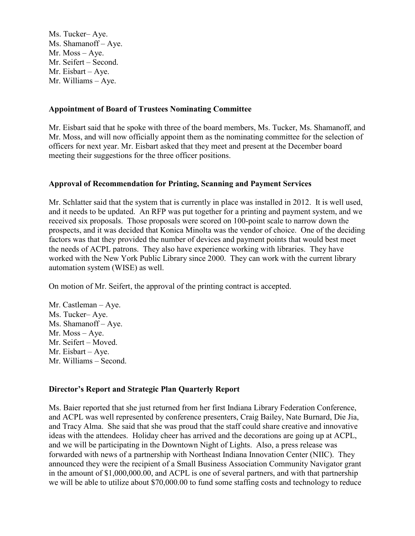Ms. Tucker– Aye. Ms. Shamanoff – Aye. Mr. Moss – Aye. Mr. Seifert – Second. Mr. Eisbart – Aye. Mr. Williams – Aye.

## **Appointment of Board of Trustees Nominating Committee**

Mr. Eisbart said that he spoke with three of the board members, Ms. Tucker, Ms. Shamanoff, and Mr. Moss, and will now officially appoint them as the nominating committee for the selection of officers for next year. Mr. Eisbart asked that they meet and present at the December board meeting their suggestions for the three officer positions.

## **Approval of Recommendation for Printing, Scanning and Payment Services**

Mr. Schlatter said that the system that is currently in place was installed in 2012. It is well used, and it needs to be updated. An RFP was put together for a printing and payment system, and we received six proposals. Those proposals were scored on 100-point scale to narrow down the prospects, and it was decided that Konica Minolta was the vendor of choice. One of the deciding factors was that they provided the number of devices and payment points that would best meet the needs of ACPL patrons. They also have experience working with libraries. They have worked with the New York Public Library since 2000. They can work with the current library automation system (WISE) as well.

On motion of Mr. Seifert, the approval of the printing contract is accepted.

Mr. Castleman – Aye. Ms. Tucker– Aye. Ms. Shamanoff – Aye. Mr. Moss – Aye. Mr. Seifert – Moved. Mr. Eisbart – Aye. Mr. Williams – Second.

## **Director's Report and Strategic Plan Quarterly Report**

Ms. Baier reported that she just returned from her first Indiana Library Federation Conference, and ACPL was well represented by conference presenters, Craig Bailey, Nate Burnard, Die Jia, and Tracy Alma. She said that she was proud that the staff could share creative and innovative ideas with the attendees. Holiday cheer has arrived and the decorations are going up at ACPL, and we will be participating in the Downtown Night of Lights. Also, a press release was forwarded with news of a partnership with Northeast Indiana Innovation Center (NIIC). They announced they were the recipient of a Small Business Association Community Navigator grant in the amount of \$1,000,000.00, and ACPL is one of several partners, and with that partnership we will be able to utilize about \$70,000.00 to fund some staffing costs and technology to reduce